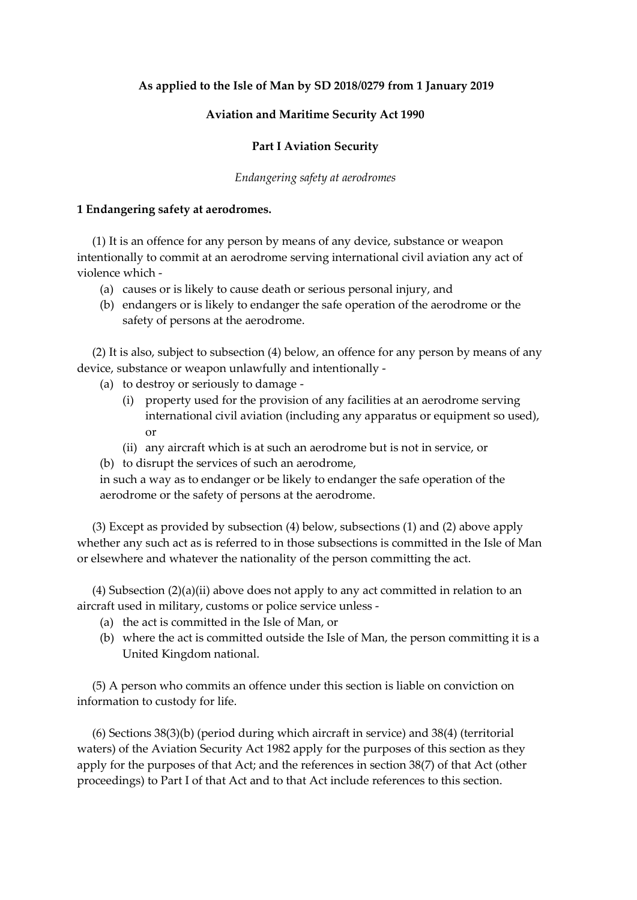## **As applied to the Isle of Man by SD 2018/0279 from 1 January 2019**

## **Aviation and Maritime Security Act 1990**

## **Part I Aviation Security**

#### *Endangering safety at aerodromes*

#### **1 Endangering safety at aerodromes.**

(1) It is an offence for any person by means of any device, substance or weapon intentionally to commit at an aerodrome serving international civil aviation any act of violence which -

- (a) causes or is likely to cause death or serious personal injury, and
- (b) endangers or is likely to endanger the safe operation of the aerodrome or the safety of persons at the aerodrome.

(2) It is also, subject to subsection (4) below, an offence for any person by means of any device, substance or weapon unlawfully and intentionally -

- (a) to destroy or seriously to damage
	- (i) property used for the provision of any facilities at an aerodrome serving international civil aviation (including any apparatus or equipment so used), or
	- (ii) any aircraft which is at such an aerodrome but is not in service, or
- (b) to disrupt the services of such an aerodrome,

in such a way as to endanger or be likely to endanger the safe operation of the aerodrome or the safety of persons at the aerodrome.

(3) Except as provided by subsection (4) below, subsections (1) and (2) above apply whether any such act as is referred to in those subsections is committed in the Isle of Man or elsewhere and whatever the nationality of the person committing the act.

(4) Subsection (2)(a)(ii) above does not apply to any act committed in relation to an aircraft used in military, customs or police service unless -

- (a) the act is committed in the Isle of Man, or
- (b) where the act is committed outside the Isle of Man, the person committing it is a United Kingdom national.

(5) A person who commits an offence under this section is liable on conviction on information to custody for life.

(6) Sections 38(3)(b) (period during which aircraft in service) and 38(4) (territorial waters) of the Aviation Security Act 1982 apply for the purposes of this section as they apply for the purposes of that Act; and the references in section 38(7) of that Act (other proceedings) to Part I of that Act and to that Act include references to this section.